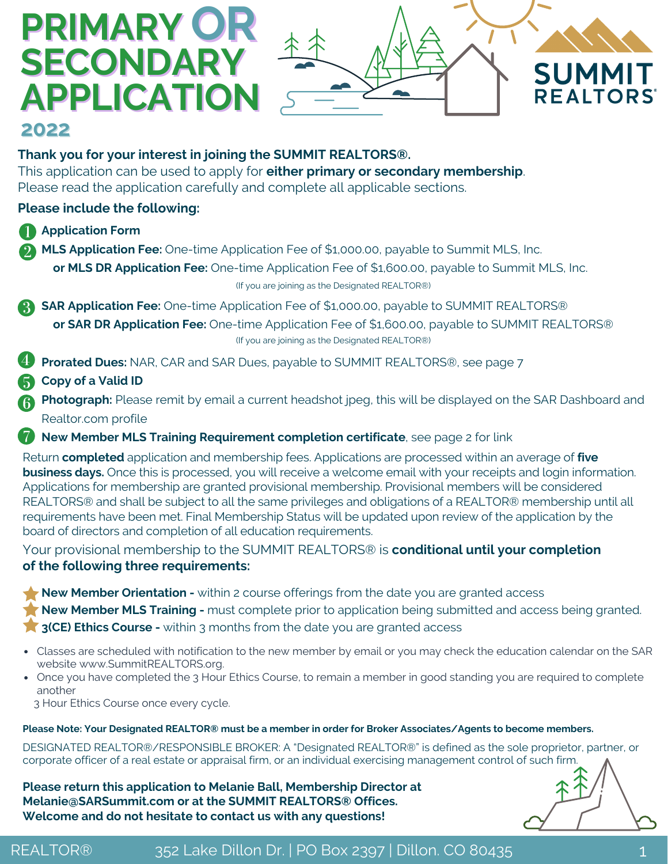# **OR PRIMARY SECONDARY APPLICATION**



## **2022**

### **Thank you for your interest in joining the SUMMIT REALTORS®.**

This application can be used to apply for **either primary or secondary membership**. Please read the application carefully and complete all applicable sections.

### **Please include the following:**

- **Application Form**
- **MLS Application Fee:** One-time Application Fee of \$1,000.00, payable to Summit MLS, Inc.

**or MLS DR Application Fee:** One-time Application Fee of \$1,600.00, payable to Summit MLS, Inc. (If you are joining as the Designated REALTOR®)

**SAR Application Fee:** One-time Application Fee of \$1,000.00, payable to SUMMIT REALTORS® **or SAR DR Application Fee:** One-time Application Fee of \$1,600.00, payable to SUMMIT REALTORS® (If you are joining as the Designated REALTOR®)

- **Prorated Dues:** NAR, CAR and SAR Dues, payable to SUMMIT REALTORS®, see page 7
- **Copy of a Valid ID**

**Photograph:** Please remit by email a current headshot jpeg, this will be displayed on the SAR Dashboard and Realtor.com profile

**New Member MLS Training Requirement completion certificate**, see page 2 for link

Return **completed** application and membership fees. Applications are processed within an average of **five business days.** Once this is processed, you will receive a welcome email with your receipts and login information. Applications for membership are granted provisional membership. Provisional members will be considered REALTORS® and shall be subject to all the same privileges and obligations of a REALTOR® membership until all requirements have been met. Final Membership Status will be updated upon review of the application by the board of directors and completion of all education requirements.

Your provisional membership to the SUMMIT REALTORS® is **conditional until your completion of the following three requirements:**

**New Member Orientation -** within 2 course offerings from the date you are granted access **New Member MLS Training -** must complete prior to application being submitted and access being granted. **3(CE) Ethics Course -** within 3 months from the date you are granted access

- Classes are scheduled with notification to the new member by email or you may check the education calendar on the SAR website [www.SummitREALTORS.org.](https://summitrealtors.org/events/)
- Once you have completed the 3 Hour Ethics Course, to remain a member in good standing you are required to complete another

3 Hour Ethics Course once every cycle.

### Please Note: Your Designated REALTOR® must be a member in order for Broker Associates/Agents to become members.

DESIGNATED REALTOR®/RESPONSIBLE BROKER: A "Designated REALTOR®" is defined as the sole proprietor, partner, or corporate officer of a real estate or appraisal firm, or an individual exercising management control of such firm.

**Please return this application to Melanie Ball, Membership Director at Melanie@SARSummit.com or at the SUMMIT REALTORS® Offices. Welcome and do not hesitate to contact us with any questions!**

REALTOR® 352 Lake Dillon Dr. | PO Box 2397 | Dillon. CO 80435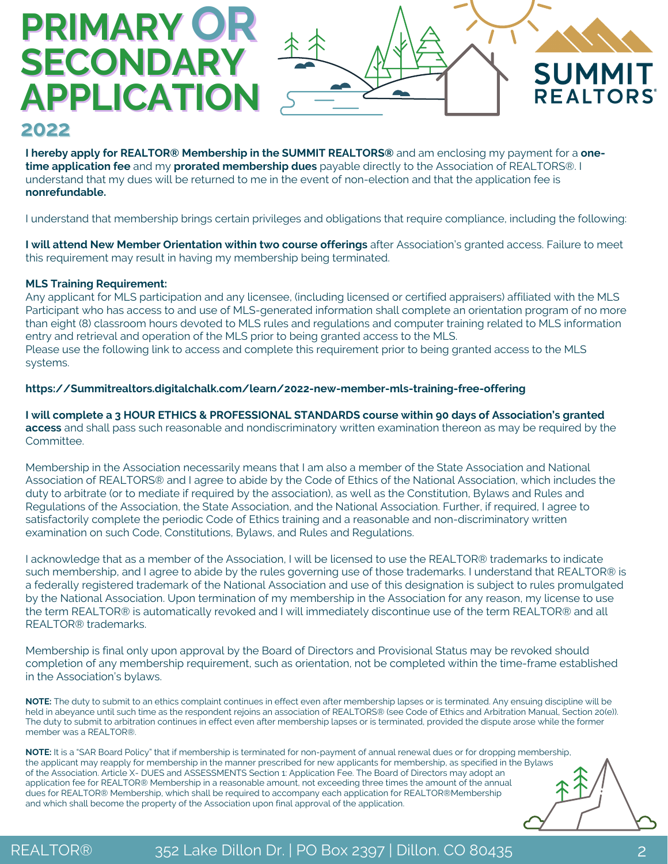# **OR PRIMARY SECONDARY APPLICATION**



### **2022**

**I hereby apply for REALTOR® Membership in the SUMMIT REALTORS®** and am enclosing my payment for a **onetime application fee** and my **prorated membership dues** payable directly to the Association of REALTORS®. I understand that my dues will be returned to me in the event of non-election and that the application fee is **nonrefundable.**

I understand that membership brings certain privileges and obligations that require compliance, including the following:

**I will attend New Member Orientation within two course offerings** after Association's granted access. Failure to meet this requirement may result in having my membership being terminated.

#### **MLS Training Requirement:**

Any applicant for MLS participation and any licensee, (including licensed or certified appraisers) affiliated with the MLS Participant who has access to and use of MLS-generated information shall complete an orientation program of no more than eight (8) classroom hours devoted to MLS rules and regulations and computer training related to MLS information entry and retrieval and operation of the MLS prior to being granted access to the MLS. Please use the following link to access and complete this requirement prior to being granted access to the MLS systems.

#### **[https://Summitrealtors.digitalchalk.com/learn/2022-new-member-mls-training-free-offering](https://summitrealtors.digitalchalk.com/learn/2022-new-member-mls-training-free-offering)**

**I will complete a 3 HOUR ETHICS & PROFESSIONAL STANDARDS course within 90 days of Association's granted access** and shall pass such reasonable and nondiscriminatory written examination thereon as may be required by the Committee.

Membership in the Association necessarily means that I am also a member of the State Association and National Association of REALTORS® and I agree to abide by the Code of Ethics of the National Association, which includes the duty to arbitrate (or to mediate if required by the association), as well as the Constitution, Bylaws and Rules and Regulations of the Association, the State Association, and the National Association. Further, if required, I agree to satisfactorily complete the periodic Code of Ethics training and a reasonable and non-discriminatory written examination on such Code, Constitutions, Bylaws, and Rules and Regulations.

I acknowledge that as a member of the Association, I will be licensed to use the REALTOR® trademarks to indicate such membership, and I agree to abide by the rules governing use of those trademarks. I understand that REALTOR® is a federally registered trademark of the National Association and use of this designation is subject to rules promulgated by the National Association. Upon termination of my membership in the Association for any reason, my license to use the term REALTOR® is automatically revoked and I will immediately discontinue use of the term REALTOR® and all REALTOR® trademarks.

Membership is final only upon approval by the Board of Directors and Provisional Status may be revoked should completion of any membership requirement, such as orientation, not be completed within the time-frame established in the Association's bylaws.

**NOTE:** The duty to submit to an ethics complaint continues in effect even after membership lapses or is terminated. Any ensuing discipline will be held in abeyance until such time as the respondent rejoins an association of REALTORS® (see Code of Ethics and Arbitration Manual, Section 20(e)). The duty to submit to arbitration continues in effect even after membership lapses or is terminated, provided the dispute arose while the former member was a REALTOR®.

**NOTE:** It is a "SAR Board Policy" that if membership is terminated for non-payment of annual renewal dues or for dropping membership, the applicant may reapply for membership in the manner prescribed for new applicants for membership, as specified in the Bylaws of the Association. Article X- DUES and ASSESSMENTS Section 1: Application Fee. The Board of Directors may adopt an application fee for REALTOR® Membership in a reasonable amount, not exceeding three times the amount of the annual dues for REALTOR® Membership, which shall be required to accompany each application for REALTOR®Membership and which shall become the property of the Association upon final approval of the application.

REALTOR® 352 Lake Dillon Dr. | PO Box 2397 | Dillon. CO 80435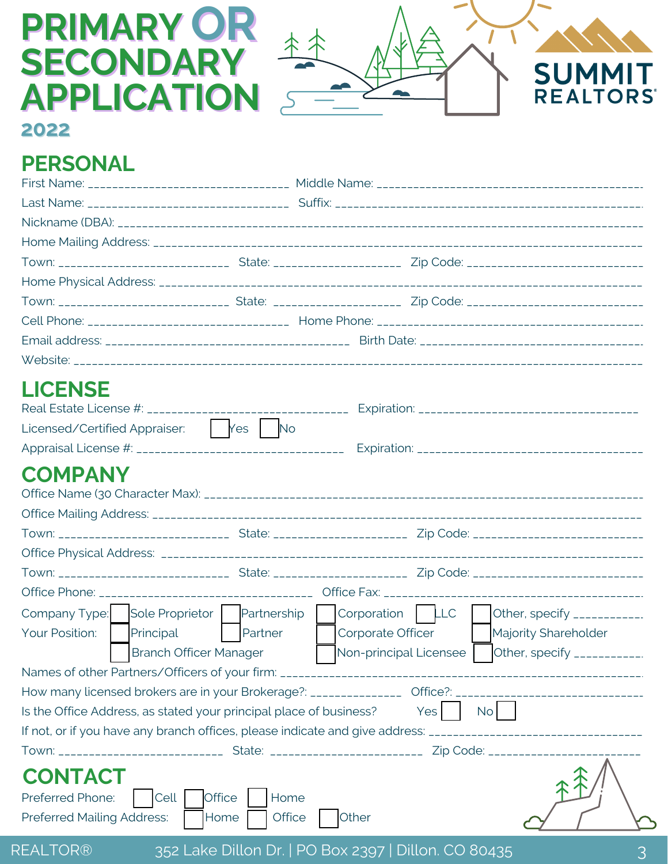# **PRIMARY OR SECONDARY APPLICATION**



**2022**

## **PERSONAL**

| <b>LICENSE</b>                                                     |                       |                                                                                                                |  |  |  |
|--------------------------------------------------------------------|-----------------------|----------------------------------------------------------------------------------------------------------------|--|--|--|
|                                                                    |                       |                                                                                                                |  |  |  |
| Licensed/Certified Appraiser: Ves No                               |                       |                                                                                                                |  |  |  |
|                                                                    |                       |                                                                                                                |  |  |  |
| <b>COMPANY</b>                                                     |                       |                                                                                                                |  |  |  |
|                                                                    |                       |                                                                                                                |  |  |  |
|                                                                    |                       |                                                                                                                |  |  |  |
|                                                                    |                       |                                                                                                                |  |  |  |
|                                                                    |                       |                                                                                                                |  |  |  |
|                                                                    |                       |                                                                                                                |  |  |  |
|                                                                    |                       |                                                                                                                |  |  |  |
| Company Type:                                                      |                       | Sole Proprietor   Partnership   Corporation   LLC<br>Other, specify ____________                               |  |  |  |
| Your Position:<br>Principal                                        | Partner               | Corporate Officer<br>Majority Shareholder                                                                      |  |  |  |
| <b>Branch Officer Manager</b>                                      |                       | Non-principal Licensee<br>Other, specify ___________.                                                          |  |  |  |
|                                                                    |                       |                                                                                                                |  |  |  |
|                                                                    |                       | How many licensed brokers are in your Brokerage?: ________________ Office?: __________________________________ |  |  |  |
| Is the Office Address, as stated your principal place of business? |                       | $No$  <br>Yes <sup> </sup>                                                                                     |  |  |  |
|                                                                    |                       | If not, or if you have any branch offices, please indicate and give address: _________________________________ |  |  |  |
|                                                                    |                       |                                                                                                                |  |  |  |
| <b>CONTACT</b>                                                     |                       |                                                                                                                |  |  |  |
| Preferred Phone:<br>Cell                                           | <b>Office</b><br>Home |                                                                                                                |  |  |  |
| <b>Preferred Mailing Address:</b>                                  | Office<br>Home        | Other                                                                                                          |  |  |  |
|                                                                    |                       |                                                                                                                |  |  |  |
| REALTOR®                                                           |                       | 352 Lake Dillon Dr.   PO Box 2397   Dillon. CO 80435                                                           |  |  |  |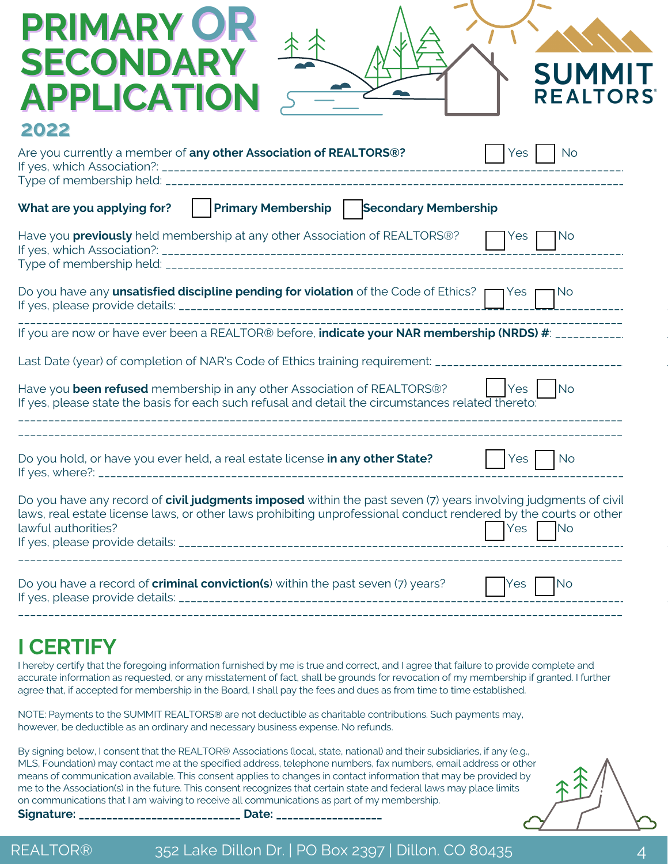| <b>PRIMARY OR</b><br><b>SECONDARY</b><br><b>SUMMI</b><br><b>APPLICATION</b><br><b>REALTORS</b>                                                                                                                                                                                |
|-------------------------------------------------------------------------------------------------------------------------------------------------------------------------------------------------------------------------------------------------------------------------------|
| 2022<br>Are you currently a member of any other Association of REALTORS®?<br>Yes<br><b>No</b>                                                                                                                                                                                 |
| Primary Membership   Secondary Membership<br>What are you applying for?                                                                                                                                                                                                       |
| Have you <b>previously</b> held membership at any other Association of REALTORS®?<br>$Yes \mid$<br>No.                                                                                                                                                                        |
| Do you have any unsatisfied discipline pending for violation of the Code of Ethics? $\Box$ Yes r<br>٦No                                                                                                                                                                       |
| If you are now or have ever been a REALTOR® before, indicate your NAR membership (NRDS) #: ___________.                                                                                                                                                                       |
| Last Date (year) of completion of NAR's Code of Ethics training requirement: _________________________________                                                                                                                                                                |
| Have you been refused membership in any other Association of REALTORS®?<br><b>No</b><br>$Yes$ $\overline{\phantom{a}}$<br>If yes, please state the basis for each such refusal and detail the circumstances related thereto:                                                  |
|                                                                                                                                                                                                                                                                               |
| Do you hold, or have you ever held, a real estate license in any other State?<br><b>No</b><br>Yes.                                                                                                                                                                            |
| Do you have any record of civil judgments imposed within the past seven (7) years involving judgments of civil<br>laws, real estate license laws, or other laws prohibiting unprofessional conduct rendered by the courts or other<br>lawful authorities?<br>Yes<br><b>No</b> |
| Do you have a record of criminal conviction(s) within the past seven (7) years?<br><b>No</b><br>Yes<br>If yes, please provide details:                                                                                                                                        |

**I CERTIFY**

I hereby certify that the foregoing information furnished by me is true and correct, and I agree that failure to provide complete and accurate information as requested, or any misstatement of fact, shall be grounds for revocation of my membership if granted. I further agree that, if accepted for membership in the Board, I shall pay the fees and dues as from time to time established.

\_\_\_\_\_\_\_\_\_\_\_\_\_\_\_\_\_\_\_\_\_\_\_\_\_\_\_\_\_\_\_\_\_\_\_\_\_\_\_\_\_\_\_\_\_\_\_\_\_\_\_\_\_\_\_\_\_\_\_\_\_\_\_\_\_\_\_\_\_\_\_\_\_\_\_\_\_\_\_\_\_\_\_\_\_\_\_\_\_\_\_\_\_\_\_\_\_\_\_\_\_\_\_\_\_\_\_

NOTE: Payments to the SUMMIT REALTORS® are not deductible as charitable contributions. Such payments may, however, be deductible as an ordinary and necessary business expense. No refunds.

By signing below, I consent that the REALTOR® Associations (local, state, national) and their subsidiaries, if any (e.g., MLS, Foundation) may contact me at the specified address, telephone numbers, fax numbers, email address or other means of communication available. This consent applies to changes in contact information that may be provided by me to the Association(s) in the future. This consent recognizes that certain state and federal laws may place limits on communications that I am waiving to receive all communications as part of my membership.

**Signature: \_\_\_\_\_\_\_\_\_\_\_\_\_\_\_\_\_\_\_\_\_\_\_\_\_\_\_\_\_ Date: \_\_\_\_\_\_\_\_\_\_\_\_\_\_\_\_\_\_\_**

REALTOR® 352 Lake Dillon Dr. | PO Box 2397 | Dillon. CO 80435 44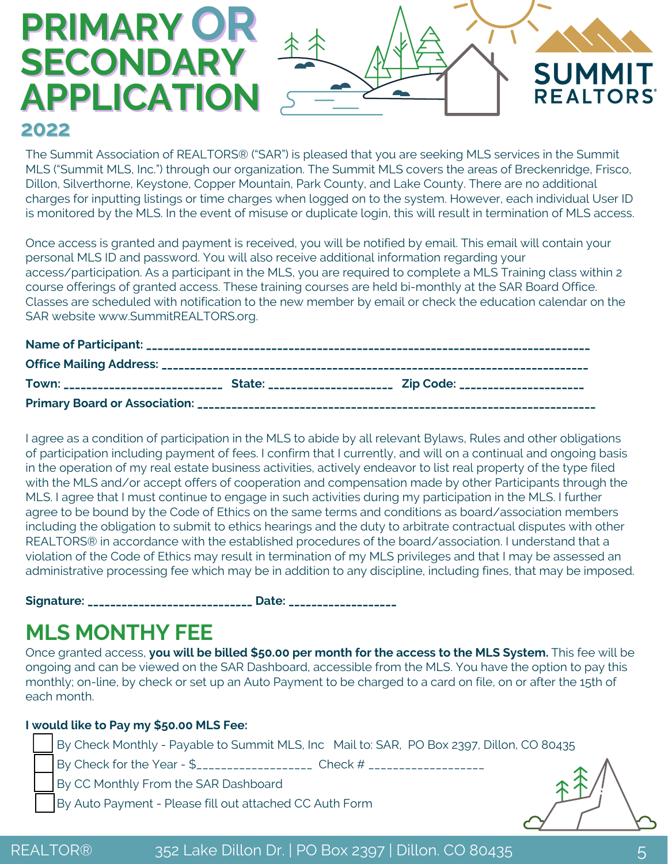# **OR PRIMARY SECONDARY APPLICATION 2022**



Once access is granted and payment is received, you will be notified by email. This email will contain your personal MLS ID and password. You will also receive additional information regarding your access/participation. As a participant in the MLS, you are required to complete a MLS Training class within 2 course offerings of granted access. These training courses are held bi-monthly at the SAR Board Office. Classes are scheduled with notification to the new member by email or check the education calendar on the SAR website www.SummitREALTORS.org.

I agree as a condition of participation in the MLS to abide by all relevant Bylaws, Rules and other obligations of participation including payment of fees. I confirm that I currently, and will on a continual and ongoing basis in the operation of my real estate business activities, actively endeavor to list real property of the type filed with the MLS and/or accept offers of cooperation and compensation made by other Participants through the MLS. I agree that I must continue to engage in such activities during my participation in the MLS. I further agree to be bound by the Code of Ethics on the same terms and conditions as board/association members including the obligation to submit to ethics hearings and the duty to arbitrate contractual disputes with other REALTORS® in accordance with the established procedures of the board/association. I understand that a violation of the Code of Ethics may result in termination of my MLS privileges and that I may be assessed an administrative processing fee which may be in addition to any discipline, including fines, that may be imposed.

**Signature: \_\_\_\_\_\_\_\_\_\_\_\_\_\_\_\_\_\_\_\_\_\_\_\_\_\_\_\_\_ Date: \_\_\_\_\_\_\_\_\_\_\_\_\_\_\_\_\_\_\_**

## **MLS MONTHY FEE**

Once granted access, **you will be billed \$50.00 per month for the access to the MLS System.** This fee will be ongoing and can be viewed on the SAR Dashboard, accessible from the MLS. You have the option to pay this monthly; on-line, by check or set up an Auto Payment to be charged to a card on file, on or after the 15th of each month.

### **I would like to Pay my \$50.00 MLS Fee:**

By Check Monthly - Payable to Summit MLS, Inc Mail to: SAR, PO Box 2397, Dillon, CO 80435 By Check for the Year - \$\_\_\_\_\_\_\_\_\_\_\_\_\_\_\_\_\_\_\_\_\_ Check # \_\_\_\_\_\_\_\_\_\_\_\_\_\_\_\_\_\_\_\_\_\_\_\_\_ By CC Monthly From the SAR Dashboard By Auto Payment - Please fill out attached CC Auth Form

**SUMMIT** 

**REALTORS**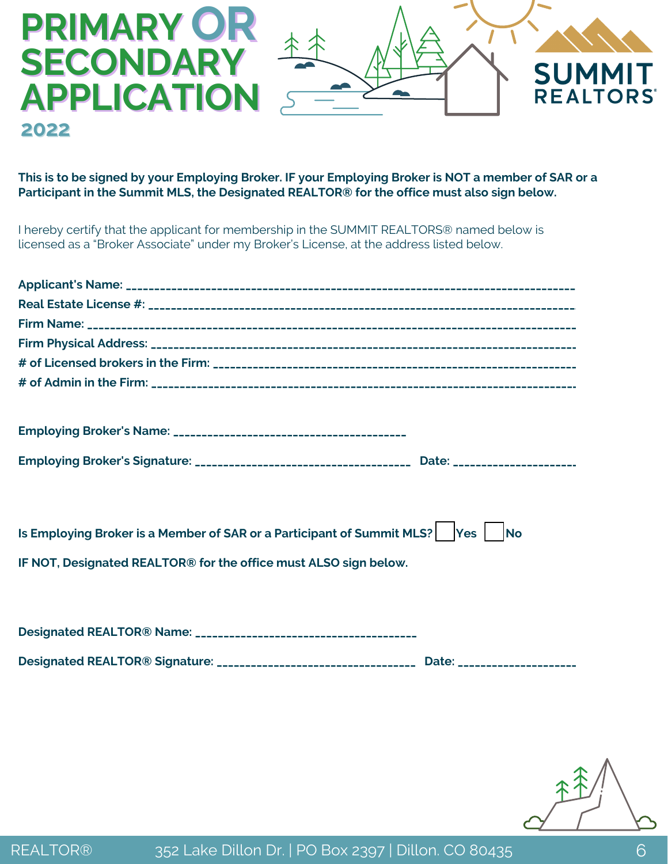

This is to be signed by your Employing Broker. IF your Employing Broker is NOT a member of SAR or a **Participant in the Summit MLS, the Designated REALTOR® for the office must also sign below.**

I hereby certify that the applicant for membership in the SUMMIT REALTORS® named below is licensed as a "Broker Associate" under my Broker's License, at the address listed below.

| Is Employing Broker is a Member of SAR or a Participant of Summit MLS?   Yes   No            |
|----------------------------------------------------------------------------------------------|
| IF NOT, Designated REALTOR® for the office must ALSO sign below.                             |
|                                                                                              |
|                                                                                              |
|                                                                                              |
| Designated REALTOR® Signature: __________________________________ Date: ____________________ |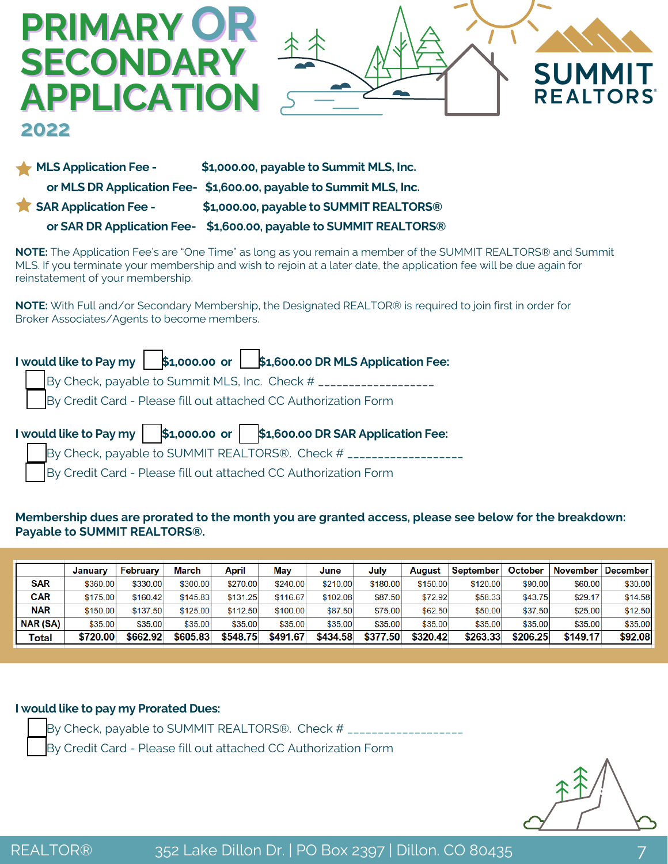

### **MLS Application Fee - \$1,000.00, payable to Summit MLS, Inc. or MLS DR Application Fee- \$1,600.00, payable to Summit MLS, Inc. SAR Application Fee - \$1,000.00, payable to SUMMIT REALTORS® or SAR DR Application Fee- \$1,600.00, payable to SUMMIT REALTORS®**

**NOTE:** The Application Fee's are "One Time" as long as you remain a member of the SUMMIT REALTORS® and Summit MLS. If you terminate your membership and wish to rejoin at a later date, the application fee will be due again for reinstatement of your membership.

**NOTE:** With Full and/or Secondary Membership, the Designated REALTOR® is required to join first in order for Broker Associates/Agents to become members.

| I would like to Pay my $\ \mathbf{s}_1,000.00\ $ $\ \mathbf{s}_1,000.00\ $ RMLS Application Fee: |  |  |  |  |
|--------------------------------------------------------------------------------------------------|--|--|--|--|
| By Check, payable to Summit MLS, Inc. Check # _________                                          |  |  |  |  |
| By Credit Card - Please fill out attached CC Authorization Form                                  |  |  |  |  |
|                                                                                                  |  |  |  |  |
| I would like to Pay my   \$1,000.00 or   \$1,600.00 DR SAR Application Fee:                      |  |  |  |  |
| By Check, payable to SUMMIT REALTORS®. Check $#_{---}$                                           |  |  |  |  |

#### **Membership dues are prorated to the month you are granted access, please see below for the breakdown: Payable to SUMMIT REALTORS®.**

|                 | January  | February | <b>March</b> | April    | May      | June     | Julv     | August   | September | October  | November | December I |
|-----------------|----------|----------|--------------|----------|----------|----------|----------|----------|-----------|----------|----------|------------|
| <b>SAR</b>      | \$360.00 | \$330.00 | \$300.00     | \$270.00 | \$240.00 | \$210.00 | \$180.00 | \$150.00 | \$120.00  | \$90.00  | \$60.00  | \$30.00    |
| <b>CAR</b>      | \$175.00 | \$160.42 | \$145.83     | \$131.25 | \$116.67 | \$102.08 | \$87.50  | \$72.92  | \$58.33   | \$43.75  | \$29.17  | \$14.58    |
| <b>NAR</b>      | \$150.00 | \$137.50 | \$125.00     | \$112.50 | \$100.00 | \$87.50  | \$75.00  | \$62.50  | \$50.00   | \$37.50  | \$25.00  | \$12.50    |
| <b>NAR (SA)</b> | \$35,00  | \$35.00  | \$35.00      | \$35.00  | \$35.00  | \$35.00  | \$35.00  | \$35.00  | \$35.00   | \$35.00  | \$35.00  | \$35.00    |
| Total           | \$720.00 | \$662.92 | \$605.83     | \$548.75 | \$491.67 | \$434.58 | \$377.50 | \$320.42 | \$263.33  | \$206.25 | \$149.17 | \$92.08    |

#### **I would like to pay my Prorated Dues:**

By Check, payable to SUMMIT REALTORS®. Check # \_\_\_\_\_\_\_\_\_\_\_\_\_\_\_

By Credit Card - Please fill out attached CC Authorization Form

**2022**